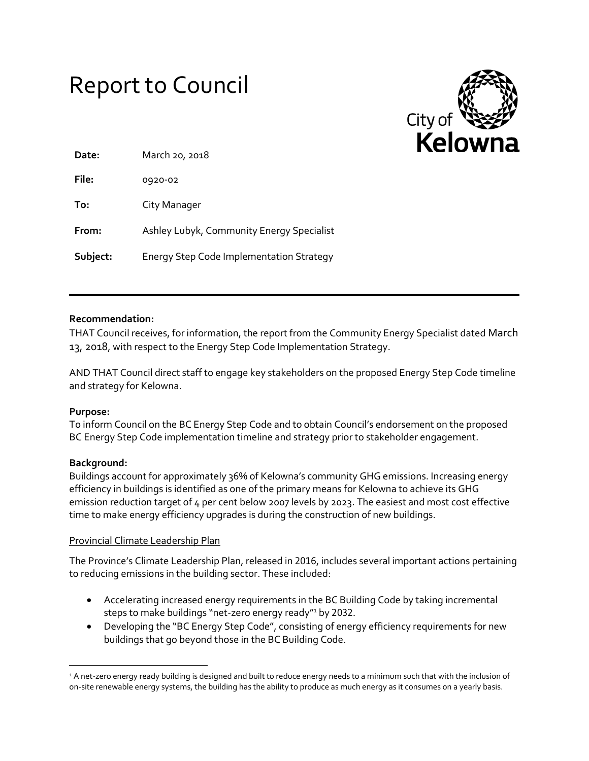# Report to Council



| Date:    | March 20, 2018                                  |
|----------|-------------------------------------------------|
| File:    | 0920-02                                         |
| To:      | City Manager                                    |
| From:    | Ashley Lubyk, Community Energy Specialist       |
| Subject: | <b>Energy Step Code Implementation Strategy</b> |

## **Recommendation:**

THAT Council receives, for information, the report from the Community Energy Specialist dated March 13, 2018, with respect to the Energy Step Code Implementation Strategy.

AND THAT Council direct staff to engage key stakeholders on the proposed Energy Step Code timeline and strategy for Kelowna.

## **Purpose:**

To inform Council on the BC Energy Step Code and to obtain Council's endorsement on the proposed BC Energy Step Code implementation timeline and strategy prior to stakeholder engagement.

#### **Background:**

 $\overline{\phantom{a}}$ 

Buildings account for approximately 36% of Kelowna's community GHG emissions. Increasing energy efficiency in buildings is identified as one of the primary means for Kelowna to achieve its GHG emission reduction target of 4 per cent below 2007 levels by 2023. The easiest and most cost effective time to make energy efficiency upgrades is during the construction of new buildings.

#### Provincial Climate Leadership Plan

The Province's Climate Leadership Plan, released in 2016, includes several important actions pertaining to reducing emissions in the building sector. These included:

- Accelerating increased energy requirements in the BC Building Code by taking incremental steps to make buildings "net-zero energy ready"<sup>1</sup> by 2032.
- Developing the "BC Energy Step Code", consisting of energy efficiency requirements for new buildings that go beyond those in the BC Building Code.

<sup>&</sup>lt;sup>1</sup> A net-zero energy ready building is designed and built to reduce energy needs to a minimum such that with the inclusion of on-site renewable energy systems, the building has the ability to produce as much energy as it consumes on a yearly basis.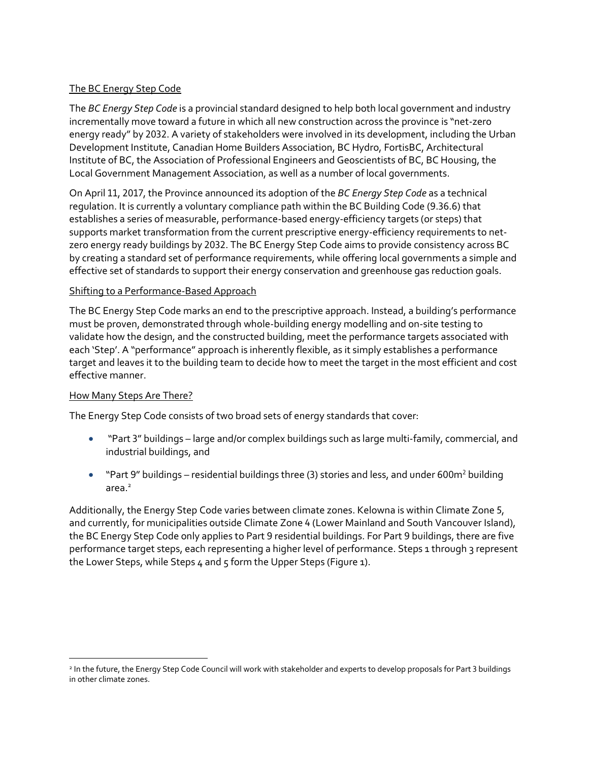# The BC Energy Step Code

The *BC Energy Step Code* is a provincial standard designed to help both local government and industry incrementally move toward a future in which all new construction across the province is "net-zero energy ready" by 2032. A variety of stakeholders were involved in its development, including the Urban Development Institute, Canadian Home Builders Association, BC Hydro, FortisBC, Architectural Institute of BC, the Association of Professional Engineers and Geoscientists of BC, BC Housing, the Local Government Management Association, as well as a number of local governments.

On April 11, 2017, the Province announced its adoption of the *BC Energy Step Code* as a technical regulation. It is currently a voluntary compliance path within the BC Building Code (9.36.6) that establishes a series of measurable, performance-based energy-efficiency targets (or steps) that supports market transformation from the current prescriptive energy-efficiency requirements to netzero energy ready buildings by 2032. The BC Energy Step Code aims to provide consistency across BC by creating a standard set of performance requirements, while offering local governments a simple and effective set of standards to support their energy conservation and greenhouse gas reduction goals.

## Shifting to a Performance-Based Approach

The BC Energy Step Code marks an end to the prescriptive approach. Instead, a building's performance must be proven, demonstrated through whole-building energy modelling and on-site testing to validate how the design, and the constructed building, meet the performance targets associated with each 'Step'. A "performance" approach is inherently flexible, as it simply establishes a performance target and leaves it to the building team to decide how to meet the target in the most efficient and cost effective manner.

## How Many Steps Are There?

 $\overline{\phantom{a}}$ 

The Energy Step Code consists of two broad sets of energy standards that cover:

- "Part 3" buildings large and/or complex buildings such as large multi-family, commercial, and industrial buildings, and
- "Part 9" buildings residential buildings three (3) stories and less, and under 600m<sup>2</sup> building area.<sup>2</sup>

Additionally, the Energy Step Code varies between climate zones. Kelowna is within Climate Zone 5, and currently, for municipalities outside Climate Zone 4 (Lower Mainland and South Vancouver Island), the BC Energy Step Code only applies to Part 9 residential buildings. For Part 9 buildings, there are five performance target steps, each representing a higher level of performance. Steps 1 through 3 represent the Lower Steps, while Steps 4 and 5 form the Upper Steps ([Figure 1](#page-2-0)).

<sup>2</sup> In the future, the Energy Step Code Council will work with stakeholder and experts to develop proposals for Part 3 buildings in other climate zones.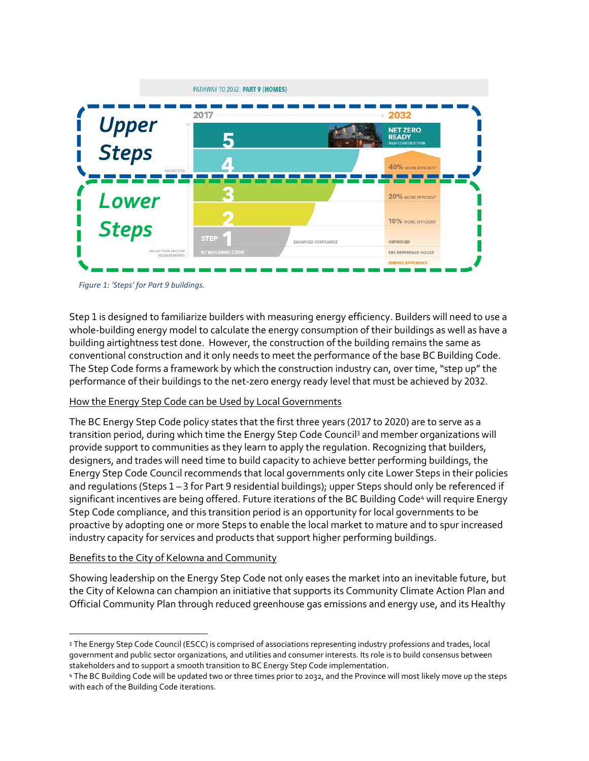

<span id="page-2-0"></span>*Figure 1: 'Steps' for Part 9 buildings.* 

Step 1 is designed to familiarize builders with measuring energy efficiency. Builders will need to use a whole-building energy model to calculate the energy consumption of their buildings as well as have a building airtightness test done. However, the construction of the building remains the same as conventional construction and it only needs to meet the performance of the base BC Building Code. The Step Code forms a framework by which the construction industry can, over time, "step up" the performance of their buildings to the net-zero energy ready level that must be achieved by 2032.

#### How the Energy Step Code can be Used by Local Governments

The BC Energy Step Code policy states that the first three years (2017 to 2020) are to serve as a transition period, during which time the Energy Step Code Council<sup>3</sup> and member organizations will provide support to communities as they learn to apply the regulation. Recognizing that builders, designers, and trades will need time to build capacity to achieve better performing buildings, the Energy Step Code Council recommends that local governments only cite Lower Steps in their policies and regulations (Steps 1 – 3 for Part 9 residential buildings); upper Steps should only be referenced if significant incentives are being offered. Future iterations of the BC Building Code<sup>4</sup> will require Energy Step Code compliance, and this transition period is an opportunity for local governments to be proactive by adopting one or more Steps to enable the local market to mature and to spur increased industry capacity for services and products that support higher performing buildings.

#### Benefits to the City of Kelowna and Community

 $\overline{\phantom{a}}$ 

Showing leadership on the Energy Step Code not only eases the market into an inevitable future, but the City of Kelowna can champion an initiative that supports its Community Climate Action Plan and Official Community Plan through reduced greenhouse gas emissions and energy use, and its Healthy

<sup>3</sup> The Energy Step Code Council (ESCC) is comprised of associations representing industry professions and trades, local government and public sector organizations, and utilities and consumer interests. Its role is to build consensus between stakeholders and to support a smooth transition to BC Energy Step Code implementation.

<sup>4</sup> The BC Building Code will be updated two or three times prior to 2032, and the Province will most likely move up the steps with each of the Building Code iterations.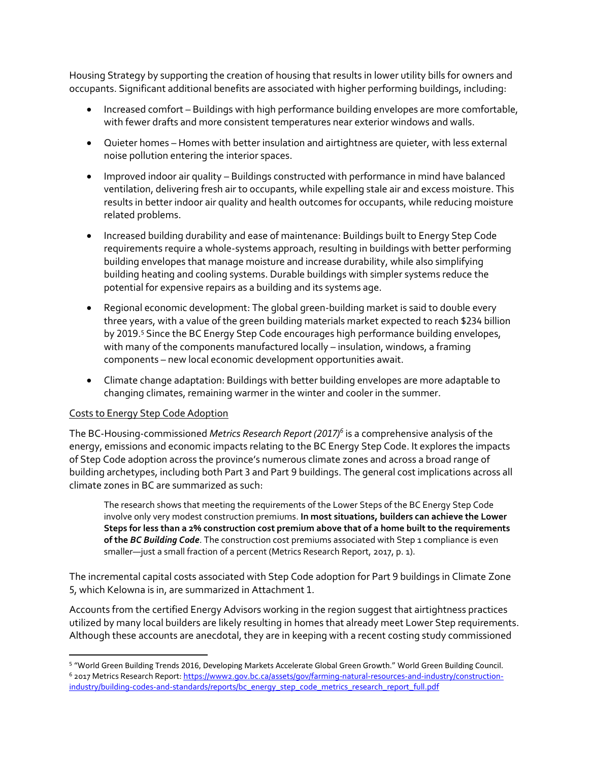Housing Strategy by supporting the creation of housing that results in lower utility bills for owners and occupants. Significant additional benefits are associated with higher performing buildings, including:

- Increased comfort Buildings with high performance building envelopes are more comfortable, with fewer drafts and more consistent temperatures near exterior windows and walls.
- Quieter homes Homes with better insulation and airtightness are quieter, with less external noise pollution entering the interior spaces.
- Improved indoor air quality Buildings constructed with performance in mind have balanced ventilation, delivering fresh air to occupants, while expelling stale air and excess moisture. This results in better indoor air quality and health outcomes for occupants, while reducing moisture related problems.
- Increased building durability and ease of maintenance: Buildings built to Energy Step Code requirements require a whole-systems approach, resulting in buildings with better performing building envelopes that manage moisture and increase durability, while also simplifying building heating and cooling systems. Durable buildings with simpler systems reduce the potential for expensive repairs as a building and its systems age.
- Regional economic development: The global green-building market is said to double every three years, with a value of the green building materials market expected to reach \$234 billion by 2019.<sup>5</sup> Since the BC Energy Step Code encourages high performance building envelopes, with many of the components manufactured locally – insulation, windows, a framing components – new local economic development opportunities await.
- Climate change adaptation: Buildings with better building envelopes are more adaptable to changing climates, remaining warmer in the winter and cooler in the summer.

## Costs to Energy Step Code Adoption

l

The BC-Housing-commissioned *Metrics Research Report (2017)<sup>6</sup>* is a comprehensive analysis of the energy, emissions and economic impacts relating to the BC Energy Step Code. It explores the impacts of Step Code adoption across the province's numerous climate zones and across a broad range of building archetypes, including both Part 3 and Part 9 buildings. The general cost implications across all climate zones in BC are summarized as such:

The research shows that meeting the requirements of the Lower Steps of the BC Energy Step Code involve only very modest construction premiums. **In most situations, builders can achieve the Lower Steps for less than a 2% construction cost premium above that of a home built to the requirements of the** *BC Building Code*. The construction cost premiums associated with Step 1 compliance is even smaller—just a small fraction of a percent (Metrics Research Report, 2017, p. 1).

The incremental capital costs associated with Step Code adoption for Part 9 buildings in Climate Zone 5, which Kelowna is in, are summarized in Attachment 1.

Accounts from the certified Energy Advisors working in the region suggest that airtightness practices utilized by many local builders are likely resulting in homes that already meet Lower Step requirements. Although these accounts are anecdotal, they are in keeping with a recent costing study commissioned

<sup>5</sup> "World Green Building Trends 2016, Developing Markets Accelerate Global Green Growth." World Green Building Council. 6 2017 Metrics Research Report: [https://www2.gov.bc.ca/assets/gov/farming-natural-resources-and-industry/construction](https://www2.gov.bc.ca/assets/gov/farming-natural-resources-and-industry/construction-industry/building-codes-and-standards/reports/bc_energy_step_code_metrics_research_report_full.pdf)[industry/building-codes-and-standards/reports/bc\\_energy\\_step\\_code\\_metrics\\_research\\_report\\_full.pdf](https://www2.gov.bc.ca/assets/gov/farming-natural-resources-and-industry/construction-industry/building-codes-and-standards/reports/bc_energy_step_code_metrics_research_report_full.pdf)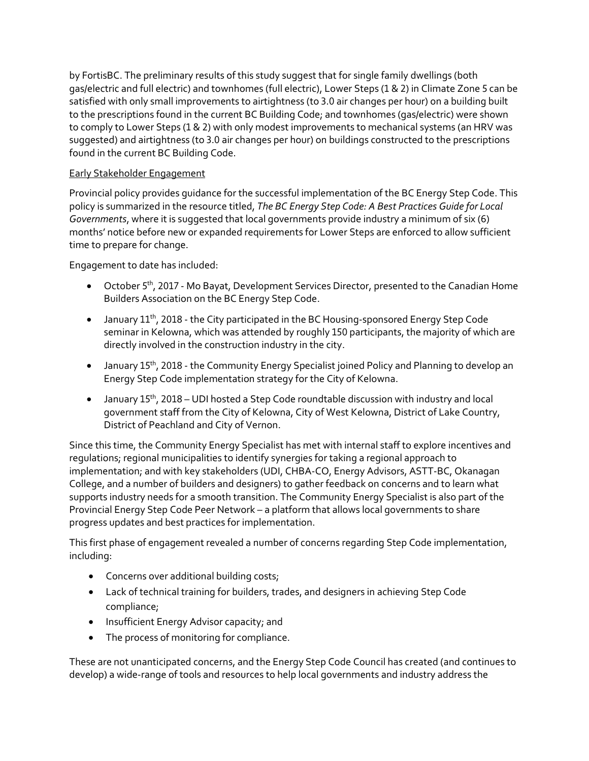by FortisBC. The preliminary results of this study suggest that for single family dwellings (both gas/electric and full electric) and townhomes (full electric), Lower Steps (1 & 2) in Climate Zone 5 can be satisfied with only small improvements to airtightness (to 3.0 air changes per hour) on a building built to the prescriptions found in the current BC Building Code; and townhomes (gas/electric) were shown to comply to Lower Steps (1 & 2) with only modest improvements to mechanical systems (an HRV was suggested) and airtightness (to 3.0 air changes per hour) on buildings constructed to the prescriptions found in the current BC Building Code.

# Early Stakeholder Engagement

Provincial policy provides guidance for the successful implementation of the BC Energy Step Code. This policy is summarized in the resource titled, *The BC Energy Step Code: A Best Practices Guide for Local Governments*, where it is suggested that local governments provide industry a minimum of six (6) months' notice before new or expanded requirements for Lower Steps are enforced to allow sufficient time to prepare for change.

Engagement to date has included:

- October 5<sup>th</sup>, 2017 Mo Bayat, Development Services Director, presented to the Canadian Home Builders Association on the BC Energy Step Code.
- $\bullet$  January 11<sup>th</sup>, 2018 the City participated in the BC Housing-sponsored Energy Step Code seminar in Kelowna, which was attended by roughly 150 participants, the majority of which are directly involved in the construction industry in the city.
- January 15<sup>th</sup>, 2018 the Community Energy Specialist joined Policy and Planning to develop an Energy Step Code implementation strategy for the City of Kelowna.
- January 15<sup>th</sup>, 2018 UDI hosted a Step Code roundtable discussion with industry and local government staff from the City of Kelowna, City of West Kelowna, District of Lake Country, District of Peachland and City of Vernon.

Since this time, the Community Energy Specialist has met with internal staff to explore incentives and regulations; regional municipalities to identify synergies for taking a regional approach to implementation; and with key stakeholders (UDI, CHBA-CO, Energy Advisors, ASTT-BC, Okanagan College, and a number of builders and designers) to gather feedback on concerns and to learn what supports industry needs for a smooth transition. The Community Energy Specialist is also part of the Provincial Energy Step Code Peer Network – a platform that allows local governments to share progress updates and best practices for implementation.

This first phase of engagement revealed a number of concerns regarding Step Code implementation, including:

- Concerns over additional building costs;
- Lack of technical training for builders, trades, and designers in achieving Step Code compliance;
- Insufficient Energy Advisor capacity; and
- The process of monitoring for compliance.

These are not unanticipated concerns, and the Energy Step Code Council has created (and continues to develop) a wide-range of tools and resources to help local governments and industry address the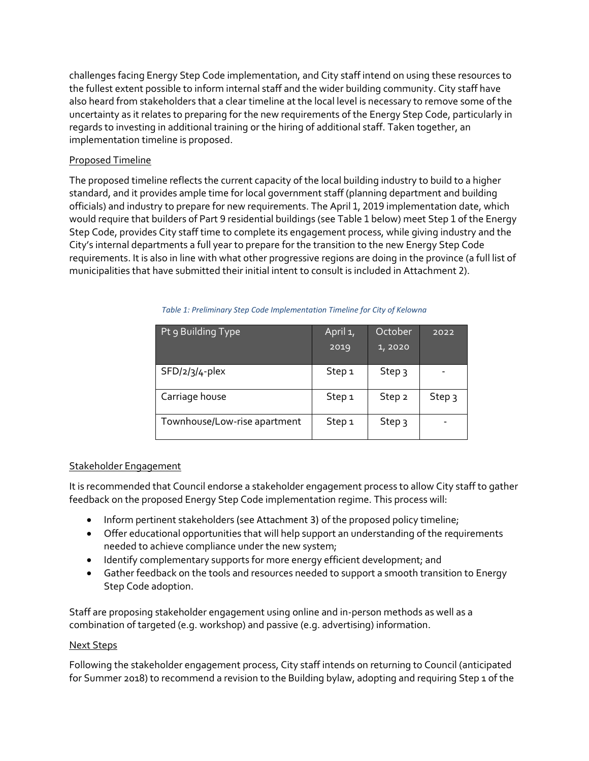challenges facing Energy Step Code implementation, and City staff intend on using these resources to the fullest extent possible to inform internal staff and the wider building community. City staff have also heard from stakeholders that a clear timeline at the local level is necessary to remove some of the uncertainty as it relates to preparing for the new requirements of the Energy Step Code, particularly in regards to investing in additional training or the hiring of additional staff. Taken together, an implementation timeline is proposed.

## Proposed Timeline

The proposed timeline reflects the current capacity of the local building industry to build to a higher standard, and it provides ample time for local government staff (planning department and building officials) and industry to prepare for new requirements. The April 1, 2019 implementation date, which would require that builders of Part 9 residential buildings (see Table 1 below) meet Step 1 of the Energy Step Code, provides City staff time to complete its engagement process, while giving industry and the City's internal departments a full year to prepare for the transition to the new Energy Step Code requirements. It is also in line with what other progressive regions are doing in the province (a full list of municipalities that have submitted their initial intent to consult is included in Attachment 2).

| Pt 9 Building Type           | April <sub>1</sub> ,<br>2019 | October<br>1,2020 | 2022              |
|------------------------------|------------------------------|-------------------|-------------------|
| $SFD/2/3/4$ -plex            | Step <sub>1</sub>            | Step 3            |                   |
| Carriage house               | Step <sub>1</sub>            | Step <sub>2</sub> | Step <sub>3</sub> |
| Townhouse/Low-rise apartment | Step <sub>1</sub>            | Step 3            |                   |

*Table 1: Preliminary Step Code Implementation Timeline for City of Kelowna*

#### Stakeholder Engagement

It is recommended that Council endorse a stakeholder engagement process to allow City staff to gather feedback on the proposed Energy Step Code implementation regime. This process will:

- Inform pertinent stakeholders (see Attachment 3) of the proposed policy timeline;
- Offer educational opportunities that will help support an understanding of the requirements needed to achieve compliance under the new system;
- Identify complementary supports for more energy efficient development; and
- Gather feedback on the tools and resources needed to support a smooth transition to Energy Step Code adoption.

Staff are proposing stakeholder engagement using online and in-person methods as well as a combination of targeted (e.g. workshop) and passive (e.g. advertising) information.

#### Next Steps

Following the stakeholder engagement process, City staff intends on returning to Council (anticipated for Summer 2018) to recommend a revision to the Building bylaw, adopting and requiring Step 1 of the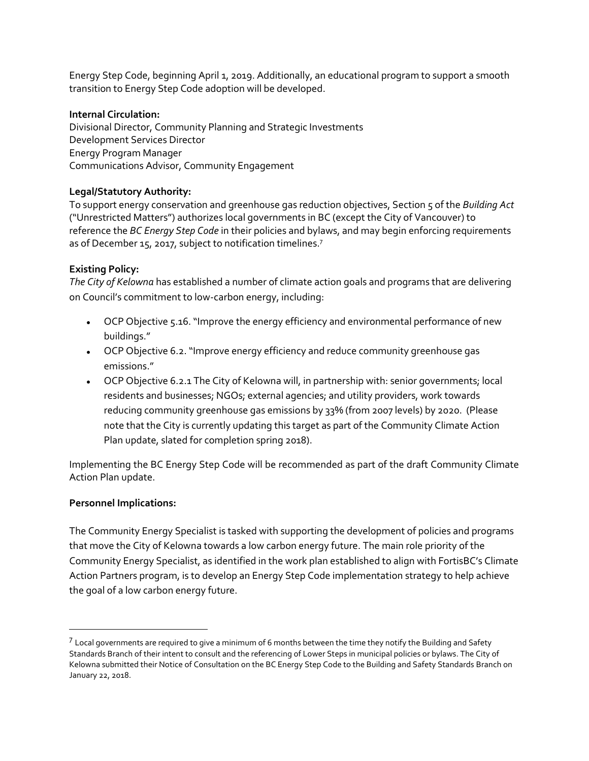Energy Step Code, beginning April 1, 2019. Additionally, an educational program to support a smooth transition to Energy Step Code adoption will be developed.

#### **Internal Circulation:**

Divisional Director, Community Planning and Strategic Investments Development Services Director Energy Program Manager Communications Advisor, Community Engagement

#### **Legal/Statutory Authority:**

To support energy conservation and greenhouse gas reduction objectives, Section 5 of the *Building Act* ("Unrestricted Matters") authorizes local governments in BC (except the City of Vancouver) to reference the *BC Energy Step Code* in their policies and bylaws, and may begin enforcing requirements as of December 15, 2017, subject to notification timelines.<sup>7</sup>

## **Existing Policy:**

*The City of Kelowna* has established a number of climate action goals and programs that are delivering on Council's commitment to low-carbon energy, including:

- OCP Objective 5.16. "Improve the energy efficiency and environmental performance of new buildings."
- OCP Objective 6.2. "Improve energy efficiency and reduce community greenhouse gas emissions."
- OCP Objective 6.2.1 The City of Kelowna will, in partnership with: senior governments; local residents and businesses; NGOs; external agencies; and utility providers, work towards reducing community greenhouse gas emissions by 33% (from 2007 levels) by 2020. (Please note that the City is currently updating this target as part of the Community Climate Action Plan update, slated for completion spring 2018).

Implementing the BC Energy Step Code will be recommended as part of the draft Community Climate Action Plan update.

## **Personnel Implications:**

 $\overline{\phantom{a}}$ 

The Community Energy Specialist is tasked with supporting the development of policies and programs that move the City of Kelowna towards a low carbon energy future. The main role priority of the Community Energy Specialist, as identified in the work plan established to align with FortisBC's Climate Action Partners program, is to develop an Energy Step Code implementation strategy to help achieve the goal of a low carbon energy future.

 $^7$  Local governments are required to give a minimum of 6 months between the time they notify the Building and Safety Standards Branch of their intent to consult and the referencing of Lower Steps in municipal policies or bylaws. The City of Kelowna submitted their Notice of Consultation on the BC Energy Step Code to the Building and Safety Standards Branch on January 22, 2018.